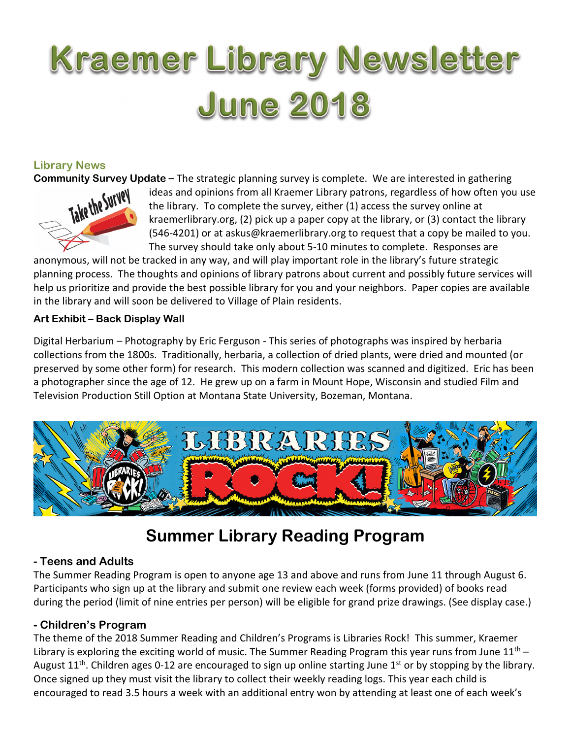# Kraemer Library Newsletter **June 2018**

# Library News



**Community Survey Update** – The strategic planning survey is complete. We are interested in gathering ideas and opinions from all Kraemer Library patrons, regardless of how often you the library. To complete the survey, e ideas and opinions from all Kraemer Library patrons, regardless of how often you use the library. To complete the survey, either (1) access the survey online at kraemerlibrary.org, (2) pick up a paper copy at the library, or (3) contact the library (546-4201) or at askus@kraemerlibrary.org to request that a copy be mailed to you. The survey should take only about 5-10 minutes to complete. Responses are

anonymous, will not be tracked in any way, and will play important role in the library's future strategic planning process. The thoughts and opinions of library patrons about current and possibly future services will help us prioritize and provide the best possible library for you and your neighbors. Paper copies are available in the library and will soon be delivered to Village of Plain residents.

# Art Exhibit – Back Display Wall

Digital Herbarium – Photography by Eric Ferguson - This series of photographs was inspired by herbaria collections from the 1800s. Traditionally, herbaria, a collection of dried plants, were dried and mounted (or preserved by some other form) for research. This modern collection was scanned and digitized. Eric has been a photographer since the age of 12. He grew up on a farm in Mount Hope, Wisconsin and studied Film and Television Production Still Option at Montana State University, Bozeman, Montana.



# Summer Library Reading Program

# - Teens and Adults

The Summer Reading Program is open to anyone age 13 and above and runs from June 11 through August 6. Participants who sign up at the library and submit one review each week (forms provided) of books read during the period (limit of nine entries per person) will be eligible for grand prize drawings. (See display case.)

# - Children's Program

The theme of the 2018 Summer Reading and Children's Programs is Libraries Rock! This summer, Kraemer Library is exploring the exciting world of music. The Summer Reading Program this year runs from June  $11<sup>th</sup>$  – August 11<sup>th</sup>. Children ages 0-12 are encouraged to sign up online starting June 1<sup>st</sup> or by stopping by the library. Once signed up they must visit the library to collect their weekly reading logs. This year each child is encouraged to read 3.5 hours a week with an additional entry won by attending at least one of each week's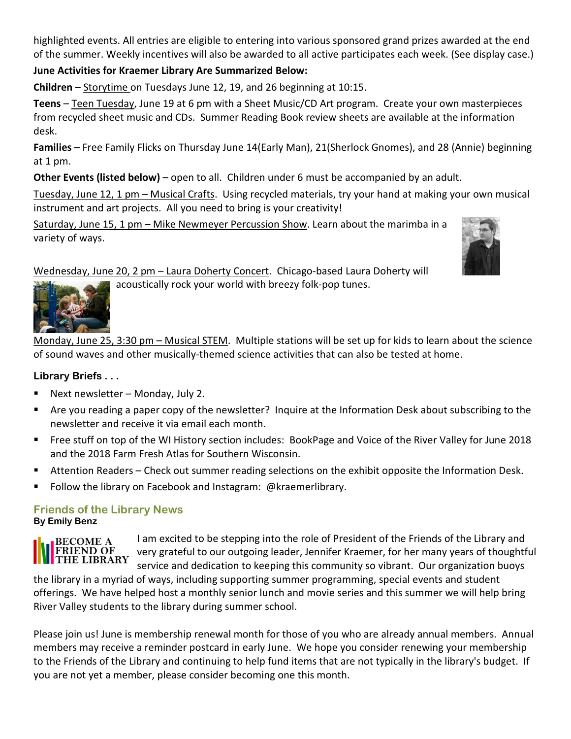highlighted events. All entries are eligible to entering into various sponsored grand prizes awarded at the end of the summer. Weekly incentives will also be awarded to all active participates each week. (See display case.)

#### June Activities for Kraemer Library Are Summarized Below:

Children – Storytime on Tuesdays June 12, 19, and 26 beginning at 10:15.

Teens – Teen Tuesday, June 19 at 6 pm with a Sheet Music/CD Art program. Create your own masterpieces from recycled sheet music and CDs. Summer Reading Book review sheets are available at the information desk.

Families – Free Family Flicks on Thursday June 14(Early Man), 21(Sherlock Gnomes), and 28 (Annie) beginning at 1 pm.

Other Events (listed below) – open to all. Children under 6 must be accompanied by an adult.

Tuesday, June 12, 1 pm – Musical Crafts. Using recycled materials, try your hand at making your own musical instrument and art projects. All you need to bring is your creativity!

Saturday, June 15, 1 pm – Mike Newmeyer Percussion Show. Learn about the marimba in a variety of ways.



Wednesday, June 20, 2 pm – Laura Doherty Concert. Chicago-based Laura Doherty will

acoustically rock your world with breezy folk-pop tunes.



Monday, June 25, 3:30 pm – Musical STEM. Multiple stations will be set up for kids to learn about the science of sound waves and other musically-themed science activities that can also be tested at home.

# Library Briefs . . .

- Next newsletter Monday, July 2.
- Are you reading a paper copy of the newsletter? Inquire at the Information Desk about subscribing to the newsletter and receive it via email each month.
- Free stuff on top of the WI History section includes: BookPage and Voice of the River Valley for June 2018 and the 2018 Farm Fresh Atlas for Southern Wisconsin.
- Attention Readers Check out summer reading selections on the exhibit opposite the Information Desk.
- Follow the library on Facebook and Instagram: @kraemerlibrary.

#### Friends of the Library News By Emily Benz



I am excited to be stepping into the role of President of the Friends of the Library and very grateful to our outgoing leader, Jennifer Kraemer, for her many years of thoughtful service and dedication to keeping this community so vibrant. Our organization buoys

the library in a myriad of ways, including supporting summer programming, special events and student offerings. We have helped host a monthly senior lunch and movie series and this summer we will help bring River Valley students to the library during summer school.

Please join us! June is membership renewal month for those of you who are already annual members. Annual members may receive a reminder postcard in early June. We hope you consider renewing your membership to the Friends of the Library and continuing to help fund items that are not typically in the library's budget. If you are not yet a member, please consider becoming one this month.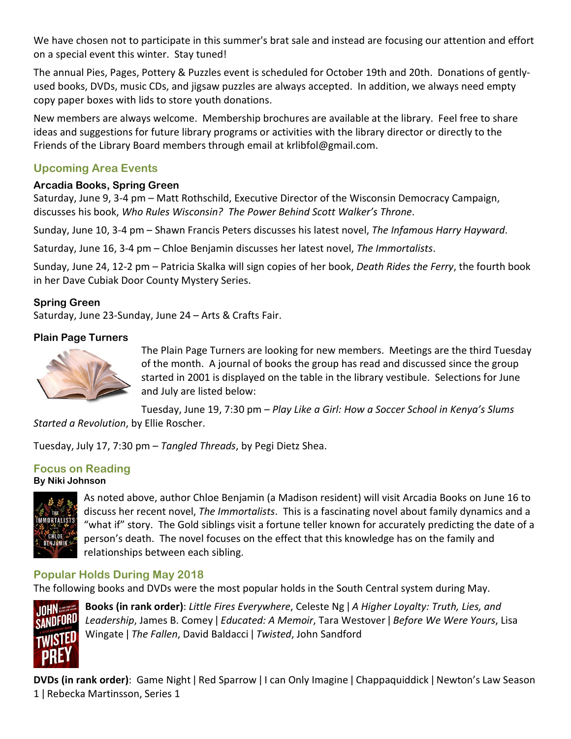We have chosen not to participate in this summer's brat sale and instead are focusing our attention and effort on a special event this winter. Stay tuned!

The annual Pies, Pages, Pottery & Puzzles event is scheduled for October 19th and 20th. Donations of gentlyused books, DVDs, music CDs, and jigsaw puzzles are always accepted. In addition, we always need empty copy paper boxes with lids to store youth donations.

New members are always welcome. Membership brochures are available at the library. Feel free to share ideas and suggestions for future library programs or activities with the library director or directly to the Friends of the Library Board members through email at krlibfol@gmail.com.

# Upcoming Area Events

#### Arcadia Books, Spring Green

Saturday, June 9, 3-4 pm – Matt Rothschild, Executive Director of the Wisconsin Democracy Campaign, discusses his book, Who Rules Wisconsin? The Power Behind Scott Walker's Throne.

Sunday, June 10, 3-4 pm – Shawn Francis Peters discusses his latest novel, The Infamous Harry Hayward.

Saturday, June 16, 3-4 pm – Chloe Benjamin discusses her latest novel, The Immortalists.

Sunday, June 24, 12-2 pm – Patricia Skalka will sign copies of her book, Death Rides the Ferry, the fourth book in her Dave Cubiak Door County Mystery Series.

# Spring Green

Saturday, June 23-Sunday, June 24 – Arts & Crafts Fair.

# Plain Page Turners



The Plain Page Turners are looking for new members. Meetings are the third Tuesday of the month. A journal of books the group has read and discussed since the group started in 2001 is displayed on the table in the library vestibule. Selections for June and July are listed below:

Tuesday, June 19, 7:30 pm – Play Like a Girl: How a Soccer School in Kenya's Slums Started a Revolution, by Ellie Roscher.

Tuesday, July 17, 7:30 pm – Tangled Threads, by Pegi Dietz Shea.

#### Focus on Reading By Niki Johnson



As noted above, author Chloe Benjamin (a Madison resident) will visit Arcadia Books on June 16 to discuss her recent novel, The Immortalists. This is a fascinating novel about family dynamics and a "what if" story. The Gold siblings visit a fortune teller known for accurately predicting the date of a person's death. The novel focuses on the effect that this knowledge has on the family and relationships between each sibling.

# Popular Holds During May 2018

The following books and DVDs were the most popular holds in the South Central system during May.



Books (in rank order): Little Fires Everywhere, Celeste Ng | A Higher Loyalty: Truth, Lies, and Leadership, James B. Comey | Educated: A Memoir, Tara Westover | Before We Were Yours, Lisa Wingate | The Fallen, David Baldacci | Twisted, John Sandford

DVDs (in rank order): Game Night ǀ Red Sparrow ǀ I can Only Imagine ǀ Chappaquiddick ǀ Newton's Law Season 1 ǀ Rebecka Martinsson, Series 1